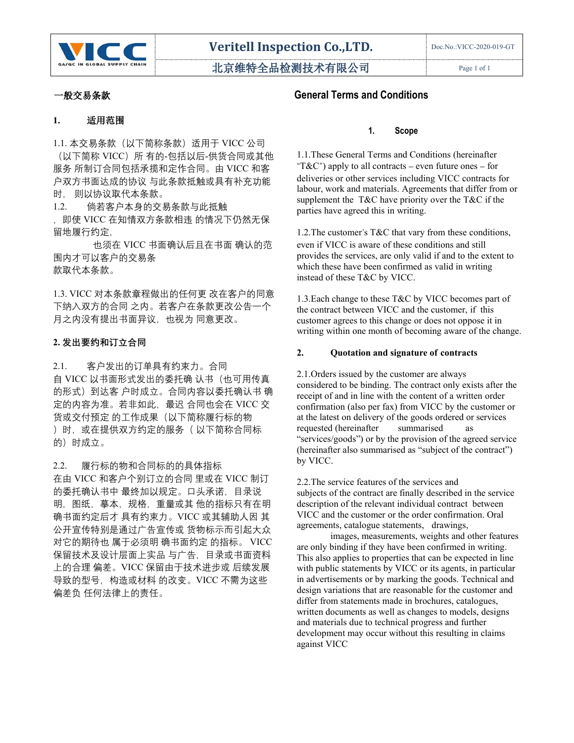

北京维特全品检测技术有限公司 | Page 1 of 1

## **1.** 适用范围

1.1. 本交易条款(以下简称条款)适用于 VICC 公司 (以下简称 VICC)所 有的-包括以后-供货合同或其他 服务 所制订合同包括承揽和定作合同。由 VICC 和客 户双方书面达成的协议 与此条款抵触或具有补充功能 时, 则以协议取代本条款。

1.2. 倘若客户本身的交易条款与此抵触

,即使 VICC 在知情双方条款相违 的情况下仍然无保 留地履行约定,

也须在 VICC 书面确认后且在书面 确认的范 围内才可以客户的交易条 款取代本条款。

1.3. VICC 对本条款章程做出的任何更 改在客户的同意 下纳入双方的合同 之内。若客户在条款更改公告一个 月之内没有提出书面异议,也视为 同意更改。

# **2. 发出要约和订立合同**

2.1. 客户发出的订单具有约束力。合同 自 VICC 以书面形式发出的委托确 认书(也可用传真 的形式)到达客 户时成立。合同内容以委托确认书 确 定的内容为准。若非如此,最迟 合同也会在 VICC 交 货或交付预定 的工作成果(以下简称履行标的物 )时,或在提供双方约定的服务(以下简称合同标 requested (hereinafter summarised 的)时成立。

2.2. 履行标的物和合同标的的具体指标 在由 VICC 和客户个别订立的合同 里或在 VICC 制订 的委托确认书中 最终加以规定。口头承诺,目录说 明,图纸,摹本,规格,重量或其 他的指标只有在明 确书面约定后才 具有约束力。VICC 或其辅助人因 其 公开宣传特别是通过广告宣传或 货物标示而引起大众 对它的期待也 属于必须明 确书面约定 的指标。 VICC 保留技术及设计层面上实品 与广告,目录或书面资料 上的合理 偏差。VICC 保留由于技术进步或 后续发展 导致的型号,构造或材料 的改变。VICC 不需为这些 偏差负 任何法律上的责任。

# 一般交易条款 **General Terms and Conditions**

#### **1. Scope**

1.1.These General Terms and Conditions (hereinafter "T&C") apply to all contracts – even future ones – for deliveries or other services including VICC contracts for labour, work and materials. Agreements that differ from or supplement the T&C have priority over the T&C if the parties have agreed this in writing.

1.2.The customer's T&C that vary from these conditions, even if VICC is aware of these conditions and still provides the services, are only valid if and to the extent to which these have been confirmed as valid in writing instead of these T&C by VICC.

1.3.Each change to these T&C by VICC becomes part of the contract between VICC and the customer, if this customer agrees to this change or does not oppose it in writing within one month of becoming aware of the change.

### **2. Quotation and signature of contracts**

2.1.Orders issued by the customer are always considered to be binding. The contract only exists after the receipt of and in line with the content of a written order confirmation (also per fax) from VICC by the customer or at the latest on delivery of the goods ordered or services requested (hereinafter summarised as "services/goods") or by the provision of the agreed service (hereinafter also summarised as "subject of the contract") by VICC.

2.2. The service features of the services and subjects of the contract are finally described in the service description of the relevant individual contract between VICC and the customer or the order confirmation. Oral agreements, catalogue statements, drawings,

images, measurements, weights and other features are only binding if they have been confirmed in writing. This also applies to properties that can be expected in line with public statements by VICC or its agents, in particular in advertisements or by marking the goods. Technical and design variations that are reasonable for the customer and differ from statements made in brochures, catalogues, written documents as well as changes to models, designs and materials due to technical progress and further development may occur without this resulting in claims against VICC